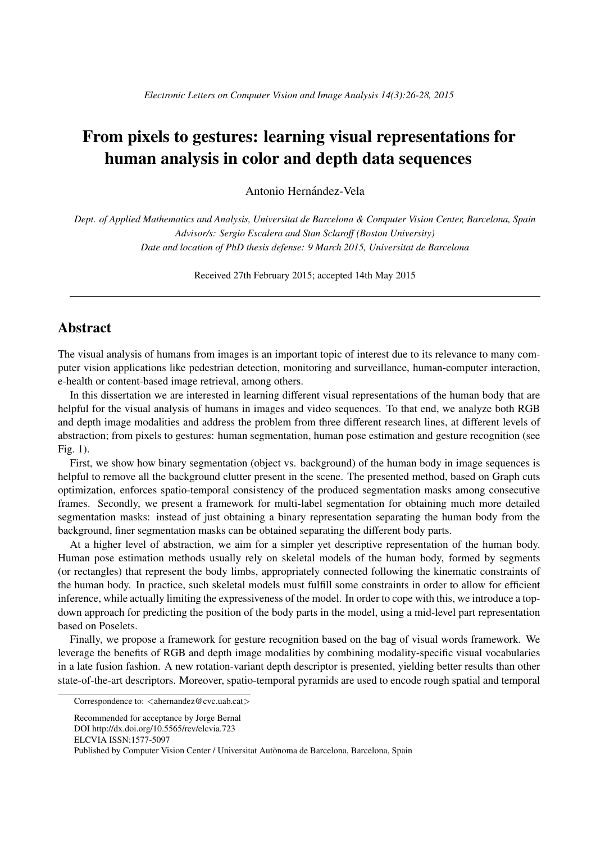## From pixels to gestures: learning visual representations for human analysis in color and depth data sequences

Antonio Hernández-Vela

*Dept. of Applied Mathematics and Analysis, Universitat de Barcelona & Computer Vision Center, Barcelona, Spain Advisor/s: Sergio Escalera and Stan Sclaroff (Boston University) Date and location of PhD thesis defense: 9 March 2015, Universitat de Barcelona*

Received 27th February 2015; accepted 14th May 2015

## **Abstract**

The visual analysis of humans from images is an important topic of interest due to its relevance to many computer vision applications like pedestrian detection, monitoring and surveillance, human-computer interaction, e-health or content-based image retrieval, among others.

In this dissertation we are interested in learning different visual representations of the human body that are helpful for the visual analysis of humans in images and video sequences. To that end, we analyze both RGB and depth image modalities and address the problem from three different research lines, at different levels of abstraction; from pixels to gestures: human segmentation, human pose estimation and gesture recognition (see Fig. 1).

First, we show how binary segmentation (object vs. background) of the human body in image sequences is helpful to remove all the background clutter present in the scene. The presented method, based on Graph cuts optimization, enforces spatio-temporal consistency of the produced segmentation masks among consecutive frames. Secondly, we present a framework for multi-label segmentation for obtaining much more detailed segmentation masks: instead of just obtaining a binary representation separating the human body from the background, finer segmentation masks can be obtained separating the different body parts.

At a higher level of abstraction, we aim for a simpler yet descriptive representation of the human body. Human pose estimation methods usually rely on skeletal models of the human body, formed by segments (or rectangles) that represent the body limbs, appropriately connected following the kinematic constraints of the human body. In practice, such skeletal models must fulfill some constraints in order to allow for efficient inference, while actually limiting the expressiveness of the model. In order to cope with this, we introduce a topdown approach for predicting the position of the body parts in the model, using a mid-level part representation based on Poselets.

Finally, we propose a framework for gesture recognition based on the bag of visual words framework. We leverage the benefits of RGB and depth image modalities by combining modality-specific visual vocabularies in a late fusion fashion. A new rotation-variant depth descriptor is presented, yielding better results than other state-of-the-art descriptors. Moreover, spatio-temporal pyramids are used to encode rough spatial and temporal

Correspondence to: *<*ahernandez@cvc.uab.cat*>*

Recommended for acceptance by Jorge Bernal DOI http://dx.doi.org/10.5565/rev/elcvia.723 ELCVIA ISSN:1577-5097 Published by Computer Vision Center / Universitat Autònoma de Barcelona, Barcelona, Spain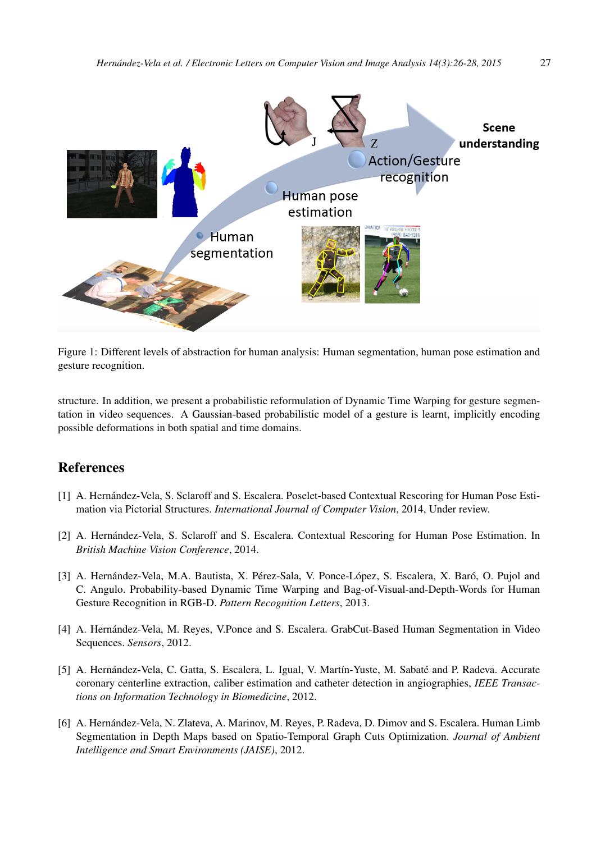

Figure 1: Different levels of abstraction for human analysis: Human segmentation, human pose estimation and gesture recognition.

structure. In addition, we present a probabilistic reformulation of Dynamic Time Warping for gesture segmentation in video sequences. A Gaussian-based probabilistic model of a gesture is learnt, implicitly encoding possible deformations in both spatial and time domains.

## References

- [1] A. Hernández-Vela, S. Sclaroff and S. Escalera. Poselet-based Contextual Rescoring for Human Pose Estimation via Pictorial Structures. *International Journal of Computer Vision*, 2014, Under review.
- [2] A. Hernández-Vela, S. Sclaroff and S. Escalera. Contextual Rescoring for Human Pose Estimation. In *British Machine Vision Conference*, 2014.
- [3] A. Hernández-Vela, M.A. Bautista, X. Pérez-Sala, V. Ponce-López, S. Escalera, X. Baró, O. Pujol and C. Angulo. Probability-based Dynamic Time Warping and Bag-of-Visual-and-Depth-Words for Human Gesture Recognition in RGB-D. *Pattern Recognition Letters*, 2013.
- [4] A. Hernández-Vela, M. Reyes, V.Ponce and S. Escalera. GrabCut-Based Human Segmentation in Video Sequences. *Sensors*, 2012.
- [5] A. Hernández-Vela, C. Gatta, S. Escalera, L. Igual, V. Martín-Yuste, M. Sabaté and P. Radeva. Accurate coronary centerline extraction, caliber estimation and catheter detection in angiographies, *IEEE Transactions on Information Technology in Biomedicine*, 2012.
- [6] A. Hernández-Vela, N. Zlateva, A. Marinov, M. Reyes, P. Radeva, D. Dimov and S. Escalera. Human Limb Segmentation in Depth Maps based on Spatio-Temporal Graph Cuts Optimization. *Journal of Ambient Intelligence and Smart Environments (JAISE)*, 2012.